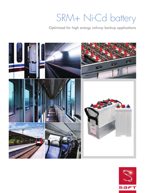# SRM+ Ni-Cd battery

Optimized for high energy railway backup applications



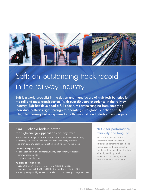

# Saft: an outstanding track record in the railway industry

Saft is a world specialist in the design and manufacture of high-tech batteries for the rail and mass transit sectors. With over 50 years experience in the railway industry, Saft has developed a full spectrum service ranging from supplying individual batteries right through to operating as a global supplier of fully integrated, turnkey battery systems for both new-build and refurbishment projects.

### SRM+: Reliable backup power for high-energy applications on any train

Saft has combined years of practical experience with advanced battery technology to develop a wide range of onboard battery systems to suit virtually any backup application on all types of rolling stock.

#### **Onboard energy backup:**

- Passenger safety and comfort (lighting, door control, ventilation, communications, etc.)
- Fail-safe train start-up

#### **All types of rolling stock:**

- Urban transport: metros, trams, tram-trains, light rails
- Regional transport: EMU, DMU (Electric and Diesel Multiple Units)
- Intercity transport: high-speed trains, electric locomotives, passenger coaches

### Ni-Cd for performance, reliability and long life

Saft Ni-Cd batteries are the benchmark technology for the difficult and demanding conditions encountered in the rail industry. Thanks to their robust construction, reliability and long, totally predictable service life, there is no risk of sudden death failure.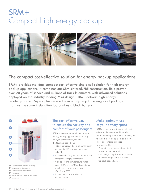# SRM+ Compact high energy backup



# The compact cost-effective solution for energy backup applications

SRM+ provides the ideal compact cost-effective single cell solution for high energy backup applications. It combines our SRM sintered/PBE construction, field proven over 20 years of service and millions of track kilometers, with advanced solutions deployed on the industry leading MRX design. SRM+ delivers high energy, reliability and a 15-year plus service life in a fully recyclable single cell package that has the same installation footprint as a block battery.



- **1/** Bayonet flame arrester vent cap
- **2/** Large electrolyte reserve
- **3/** Sintered positive electrode
- **4/** Separator
- **5/** Plastic bonded negative electrode
- **6/** Container

# The cost-effective way to ensure the security and comfort of your passengers

SRM+ provides total reliability for high energy backup applications requiring 'M'-type performance, even in the toughest conditions.

- Robust sintered/PBE Ni-Cd construction for long life (15 years or more) and reliability
- Advanced electrolyte to ensure excellent charge/discharge performance
- Wide operating temperature range from - 30°C to + 50°C and resistance to extreme temperatures from - 50°C to + 70°C
- Proven resistance to shocks and vibrations

### Make optimum use of your battery space

SRM+ is the compact single cell that offers a 25% weight and footprint reduction compared to SRM allowing you to install more equipment and carry more passengers to boost revenue/profit.

- Plates include improved and field proven active material
- Cell design is optimized to provide the smallest possible footprint for each capacity step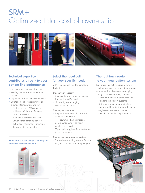# SRM+ Optimized total cost of ownership



# Technical expertise contributes directly to your bottom line performance

SRM+ is purpose-designed to save operating costs throughout its long service life.

- Capability to replace individual cells
- Outstanding chargeability over an extended temperature window
	- Fast recharge 90% capacity achieved in 5 hours – for rapid return to service
	- No need to oversize batteries
	- Lower water consumption for optimised maintenance intervals
	- 15-years plus service life

#### **SRM+ offers a 25% weight and footprint reduction compared to SRM**



# Select the ideal cell for your specific needs

SRM+ is designed to offer complete flexibility.

#### **Choose your capacity**

- Single cells which offer the closest fit to each specific need
- 17 capacity steps ranging from 44 Ah to 360 Ah

#### **Choose your container**

- P plastic containers in compact stainless steel crates
- FR polyamide flame retardant plastic containers in compact stainless steel crates
- FRpp polypropylene flame retardant plastic containers

#### **Choose your maintenance system**

• Optional water-filling system, for safe, easy and efficient annual topping up

# The fast-track route to your ideal battery system

Saft offers the fast-track route to your ideal battery system, using either a range of standardized designs or developing a fully customised turnkey solution.

- SRM+ cells fit within Saft's range of standardized battery systems
- Batteries can be integrated into a customised tray, individually designed, engineered and tested to meet specific application requirements

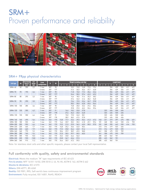# SRM+ Proven performance and reliability



### SRM+ FRpp physical characteristics

| <b>Cell type</b> | Ah  | <b>Electrolyte</b><br><b>Reserve</b><br>[cm <sup>3</sup> ] | <b>Cell</b><br>Weight<br>(kq) | <b>Crate</b><br>configuration | И   | W   | <b>Weight including crate (kg)</b> |      |      |      |      |                |          | Length (mm) |     |     |     |     |     |                |
|------------------|-----|------------------------------------------------------------|-------------------------------|-------------------------------|-----|-----|------------------------------------|------|------|------|------|----------------|----------|-------------|-----|-----|-----|-----|-----|----------------|
|                  |     |                                                            |                               |                               |     |     | $\overline{2}$                     | R    |      | F    |      | $\overline{7}$ | $\bf{8}$ |             |     | и   | 5   | ю   |     | 8 <sup>1</sup> |
| SRM+40           | 40  | 200                                                        | 2,2                           | 1 row                         | 307 | 90  |                                    |      | 10,2 | 13,0 | 14,8 | 17.6           | 19,4     |             |     | 354 | 439 | 526 | 611 | 697            |
|                  |     |                                                            |                               | 2 rows                        | 307 | 177 |                                    |      | 21,4 | 26,5 | 32,6 | 37,7           | 42,8     |             |     | 354 | 439 | 526 | 611 | 697            |
| SRM+70           | 70  | 195                                                        | 2,6                           | 1 row                         | 307 | 90  |                                    |      | 11,8 | 15,0 | 17,2 | 20,4           | 22,6     |             |     | 354 | 439 | 526 | 611 | 697            |
|                  |     |                                                            |                               | 2 rows                        | 307 | 177 |                                    |      | 24,6 | 30,5 | 37,4 | 43,3           | 49,2     |             |     | 354 | 439 | 526 | 611 | 697            |
| SRM+80           | 80  | 295                                                        | 3,3                           | 1 row                         | 307 | 90  |                                    |      | 14,6 | 18,5 | 21,4 | 25,3           | 28,2     |             |     | 354 | 439 | 526 | 611 | 697            |
|                  |     |                                                            |                               | 2 rows                        | 307 | 177 |                                    |      | 27,4 | 34,0 | 41,6 | 48.2           | 54,8     |             |     | 354 | 439 | 526 | 611 | 697            |
| SRM+90           | 90  | 290                                                        | 3,5                           | 1 row                         | 307 | 90  |                                    |      | 15,4 | 19,5 | 22,6 | 26,7           | 29,8     |             |     | 354 | 439 | 526 | 611 | 697            |
|                  |     |                                                            |                               | 2 rows                        | 307 | 177 |                                    |      | 28,2 | 35,0 | 42,8 | 49,6           | 56,4     |             |     | 354 | 439 | 526 | 611 | 697            |
| SRM+100          | 100 | 285                                                        | 3,6                           | 1 row                         | 307 | 90  |                                    |      | 15,8 | 20,0 | 23,2 | 27,4           | 30,6     |             |     | 354 | 439 | 526 | 611 | 697            |
|                  |     |                                                            |                               | 2 rows                        | 307 | 177 |                                    |      | 29,8 | 37,0 | 45,2 | 52,4           | 59,6     |             |     | 354 | 439 | 526 | 611 | 697            |
| SRM+120          | 120 | 355                                                        | 4,2                           | 1 row                         | 307 | 91  |                                    | 14,4 | 18.2 | 23,0 | 27,8 |                |          |             | 323 | 426 | 530 | 634 |     |                |
|                  |     |                                                            |                               | 2 rows                        | 307 | 178 |                                    | 27,4 | 36,2 | 45,0 | 44,8 |                |          |             | 323 | 426 | 530 | 634 |     |                |
| SRM+135          | 135 | 350                                                        | 4,4                           | 1 row                         | 307 | 91  |                                    | 15,0 | 19,0 | 24,0 | 28,1 |                |          |             | 323 | 426 | 530 | 634 |     |                |
|                  |     |                                                            |                               | 2 rows                        | 307 | 178 |                                    | 28,9 | 38,2 | 47,5 | 57,8 |                |          |             | 323 | 426 | 530 | 634 |     |                |
| SRM+160          | 160 | 495                                                        | 5,6                           | 1 row                         | 343 | 170 | 12.8                               | 17,7 | 23,6 | 29,5 | 35,4 | 41,3           | 47,2     | 163         | 241 | 319 | 397 | 475 | 553 | 631            |
| SRM+180          | 180 | 555                                                        | 6,4                           | 1 row                         | 343 | 170 | 14,6                               | 20,9 | 28,2 | 35,5 | 41,8 | 49,1           | 59,4     | 181         | 268 | 355 | 442 | 530 | 616 | 703            |
| SRM+200          | 200 | 555                                                        | 6,6                           | 1 row                         | 343 | 170 | 15,5                               | 21,5 | 29,0 | 36,5 | 43,0 | 50,5           | 57,0     | 181         | 268 | 355 | 442 | 530 | 616 | 703            |
| SRM+220          | 220 | 665                                                        | 7,7                           | 1 row                         | 343 | 170 | 16,8                               | 25,2 | 33,6 | 42,0 | 50,4 |                |          | 213         | 316 | 419 | 523 | 626 |     |                |
| SRM+240          | 240 | 665                                                        | 7,9                           | 1 row                         | 343 | 170 | 17,2                               | 25,8 | 34,4 | 43,0 | 51,6 |                |          | 213         | 316 | 419 | 523 | 626 |     |                |
| SRM+260          | 260 | 770                                                        | 9,2                           | 1 row                         | 343 | 170 | 20,6                               | 29,9 | 38,9 | 49,5 | 58,8 |                |          | 241         | 358 | 475 | 593 | 709 |     |                |
| SRM+280          | 280 | 765                                                        | 9,4                           | 1 row                         | 343 | 170 | 21,0                               | 30,5 | 39,7 | 50,5 | 60,0 |                |          | 241         | 358 | 475 | 593 | 709 |     |                |
| SRM+300          | 300 | 935                                                        | 10,5                          | 1 row                         | 343 | 170 | 23,2                               | 33,8 | 44,4 | 56,0 |      |                |          | 285         | 423 | 562 | 701 |     |     |                |
| SRM+320          | 320 | 920                                                        | 10,8                          | 1 row                         | 343 | 170 | 23,8                               | 34,7 | 45,6 | 57,5 |      |                |          | 285         | 423 | 562 | 701 |     |     |                |
| SRM+360          | 360 | 915                                                        | 11,2                          | 1 row                         | 343 | 170 | 24,6                               | 35,9 | 47,2 | 59,5 |      |                |          | 285         | 423 | 562 | 701 |     |     |                |

Note: for stainless steel cells and other specific requests, please contact your local Saft representative.

## Full conformity with quality, safety and environmental standards

**Electrical:** Meets the medium "M" type requirements of IEC 60 623 **Fire & smoke:** NFF 16101-16102, DIN 5510-2, UL 94-V0, ASTM E 162, ASTM E 662 **Shocks & vibrations:** IEC 61373 **Others:** DIN 40771, BS 6260 **Quality:** ISO 9001, IRIS, Saft world class continuous improvement program **Environment:** Fully recycled, ISO 14001, RoHS, REACH